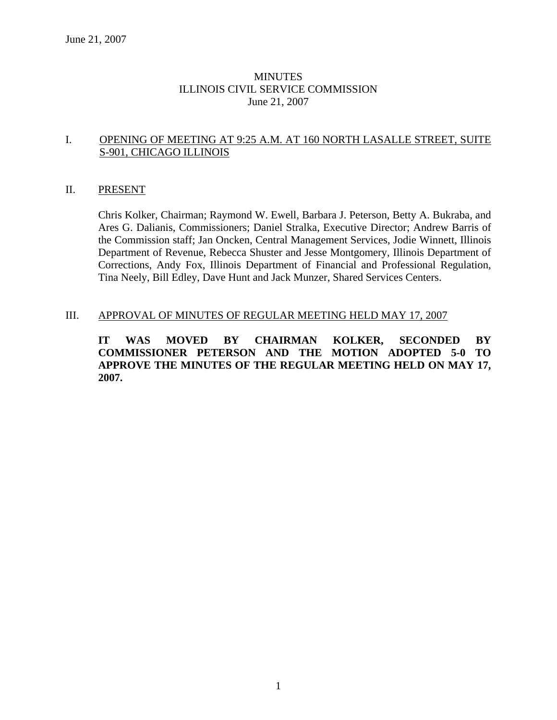### **MINUTES** ILLINOIS CIVIL SERVICE COMMISSION June 21, 2007

#### I. OPENING OF MEETING AT 9:25 A.M. AT 160 NORTH LASALLE STREET, SUITE S-901, CHICAGO ILLINOIS

#### II. PRESENT

Chris Kolker, Chairman; Raymond W. Ewell, Barbara J. Peterson, Betty A. Bukraba, and Ares G. Dalianis, Commissioners; Daniel Stralka, Executive Director; Andrew Barris of the Commission staff; Jan Oncken, Central Management Services, Jodie Winnett, Illinois Department of Revenue, Rebecca Shuster and Jesse Montgomery, Illinois Department of Corrections, Andy Fox, Illinois Department of Financial and Professional Regulation, Tina Neely, Bill Edley, Dave Hunt and Jack Munzer, Shared Services Centers.

#### III. APPROVAL OF MINUTES OF REGULAR MEETING HELD MAY 17, 2007

**IT WAS MOVED BY CHAIRMAN KOLKER, SECONDED BY COMMISSIONER PETERSON AND THE MOTION ADOPTED 5-0 TO APPROVE THE MINUTES OF THE REGULAR MEETING HELD ON MAY 17, 2007.**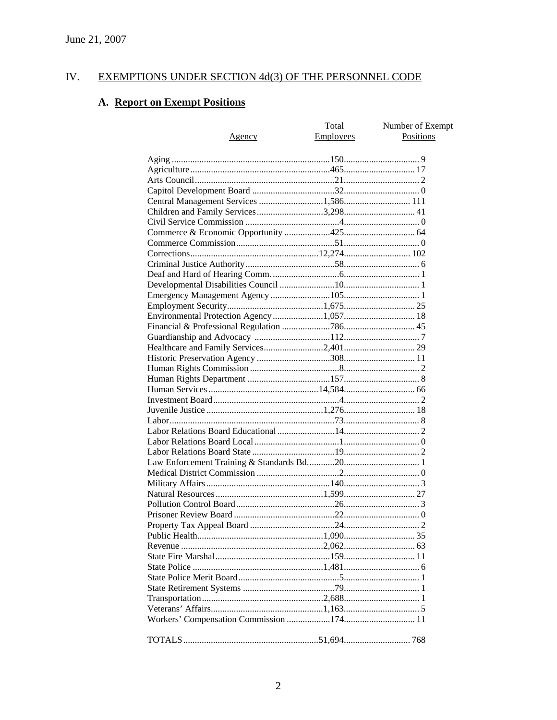#### IV. **EXEMPTIONS UNDER SECTION 4d(3) OF THE PERSONNEL CODE**

# A. Report on Exempt Positions

| <u>Agency</u>                            | Total<br>Employees | Number of Exempt<br>Positions |
|------------------------------------------|--------------------|-------------------------------|
|                                          |                    |                               |
|                                          |                    |                               |
|                                          |                    |                               |
|                                          |                    |                               |
| Central Management Services 1,586 111    |                    |                               |
| Children and Family Services3,298 41     |                    |                               |
|                                          |                    |                               |
|                                          |                    |                               |
|                                          |                    |                               |
|                                          |                    |                               |
|                                          |                    |                               |
|                                          |                    |                               |
|                                          |                    |                               |
|                                          |                    |                               |
|                                          |                    |                               |
| Environmental Protection Agency 1,057 18 |                    |                               |
|                                          |                    |                               |
|                                          |                    |                               |
|                                          |                    |                               |
|                                          |                    |                               |
|                                          |                    |                               |
|                                          |                    |                               |
|                                          |                    |                               |
|                                          |                    |                               |
|                                          |                    |                               |
|                                          |                    |                               |
|                                          |                    |                               |
|                                          |                    |                               |
|                                          |                    |                               |
|                                          |                    |                               |
|                                          |                    |                               |
|                                          |                    |                               |
|                                          |                    |                               |
|                                          |                    |                               |
|                                          |                    |                               |
|                                          |                    |                               |
|                                          |                    |                               |
|                                          |                    |                               |
|                                          |                    |                               |
|                                          |                    |                               |
|                                          |                    |                               |
|                                          |                    |                               |
|                                          |                    |                               |
|                                          |                    |                               |
|                                          |                    |                               |
|                                          |                    |                               |
|                                          |                    |                               |
|                                          |                    |                               |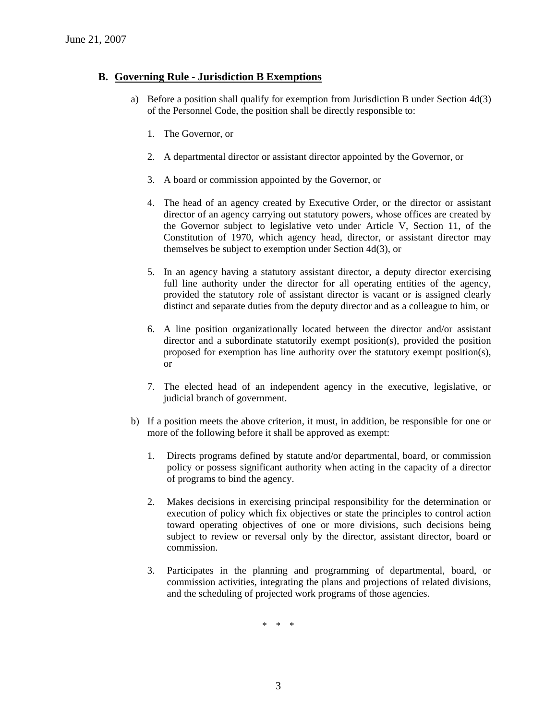#### **B. Governing Rule - Jurisdiction B Exemptions**

- a) Before a position shall qualify for exemption from Jurisdiction B under Section 4d(3) of the Personnel Code, the position shall be directly responsible to:
	- 1. The Governor, or
	- 2. A departmental director or assistant director appointed by the Governor, or
	- 3. A board or commission appointed by the Governor, or
	- 4. The head of an agency created by Executive Order, or the director or assistant director of an agency carrying out statutory powers, whose offices are created by the Governor subject to legislative veto under Article V, Section 11, of the Constitution of 1970, which agency head, director, or assistant director may themselves be subject to exemption under Section 4d(3), or
	- 5. In an agency having a statutory assistant director, a deputy director exercising full line authority under the director for all operating entities of the agency, provided the statutory role of assistant director is vacant or is assigned clearly distinct and separate duties from the deputy director and as a colleague to him, or
	- 6. A line position organizationally located between the director and/or assistant director and a subordinate statutorily exempt position(s), provided the position proposed for exemption has line authority over the statutory exempt position(s), or
	- 7. The elected head of an independent agency in the executive, legislative, or judicial branch of government.
- b) If a position meets the above criterion, it must, in addition, be responsible for one or more of the following before it shall be approved as exempt:
	- 1. Directs programs defined by statute and/or departmental, board, or commission policy or possess significant authority when acting in the capacity of a director of programs to bind the agency.
	- 2. Makes decisions in exercising principal responsibility for the determination or execution of policy which fix objectives or state the principles to control action toward operating objectives of one or more divisions, such decisions being subject to review or reversal only by the director, assistant director, board or commission.
	- 3. Participates in the planning and programming of departmental, board, or commission activities, integrating the plans and projections of related divisions, and the scheduling of projected work programs of those agencies.

\* \* \*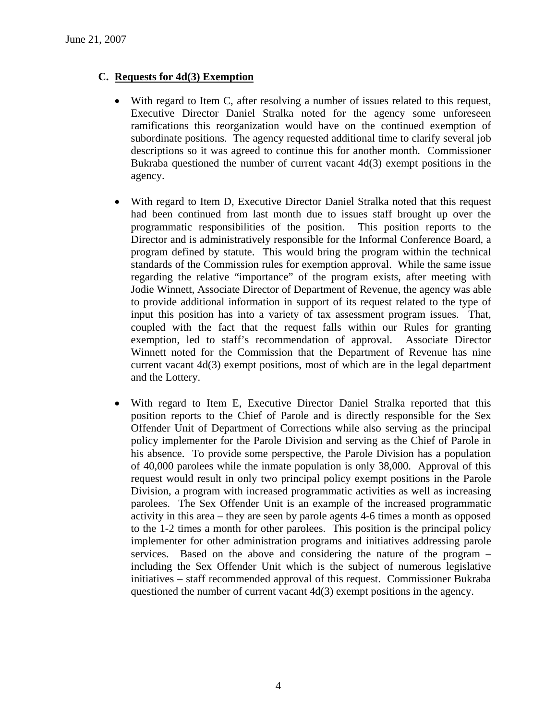### **C. Requests for 4d(3) Exemption**

- With regard to Item C, after resolving a number of issues related to this request, Executive Director Daniel Stralka noted for the agency some unforeseen ramifications this reorganization would have on the continued exemption of subordinate positions. The agency requested additional time to clarify several job descriptions so it was agreed to continue this for another month. Commissioner Bukraba questioned the number of current vacant  $4d(3)$  exempt positions in the agency.
- With regard to Item D, Executive Director Daniel Stralka noted that this request had been continued from last month due to issues staff brought up over the programmatic responsibilities of the position. This position reports to the Director and is administratively responsible for the Informal Conference Board, a program defined by statute. This would bring the program within the technical standards of the Commission rules for exemption approval. While the same issue regarding the relative "importance" of the program exists, after meeting with Jodie Winnett, Associate Director of Department of Revenue, the agency was able to provide additional information in support of its request related to the type of input this position has into a variety of tax assessment program issues. That, coupled with the fact that the request falls within our Rules for granting exemption, led to staff's recommendation of approval. Associate Director Winnett noted for the Commission that the Department of Revenue has nine current vacant 4d(3) exempt positions, most of which are in the legal department and the Lottery.
- With regard to Item E, Executive Director Daniel Stralka reported that this position reports to the Chief of Parole and is directly responsible for the Sex Offender Unit of Department of Corrections while also serving as the principal policy implementer for the Parole Division and serving as the Chief of Parole in his absence. To provide some perspective, the Parole Division has a population of 40,000 parolees while the inmate population is only 38,000. Approval of this request would result in only two principal policy exempt positions in the Parole Division, a program with increased programmatic activities as well as increasing parolees. The Sex Offender Unit is an example of the increased programmatic activity in this area – they are seen by parole agents 4-6 times a month as opposed to the 1-2 times a month for other parolees. This position is the principal policy implementer for other administration programs and initiatives addressing parole services. Based on the above and considering the nature of the program – including the Sex Offender Unit which is the subject of numerous legislative initiatives – staff recommended approval of this request. Commissioner Bukraba questioned the number of current vacant 4d(3) exempt positions in the agency.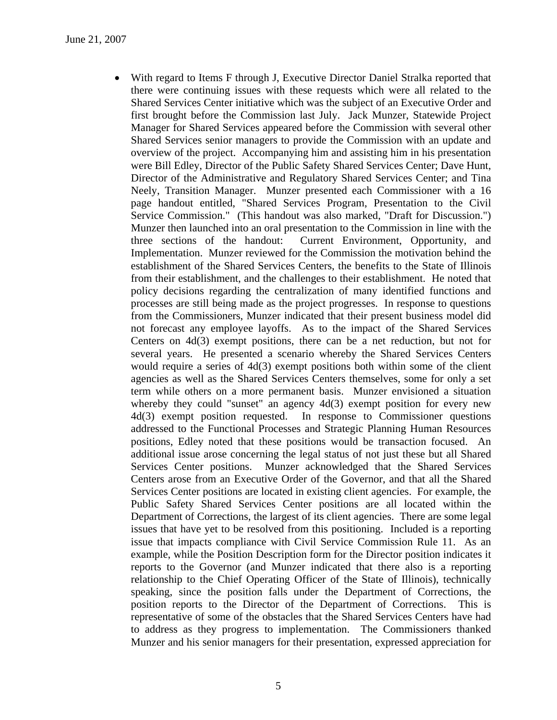• With regard to Items F through J, Executive Director Daniel Stralka reported that there were continuing issues with these requests which were all related to the Shared Services Center initiative which was the subject of an Executive Order and first brought before the Commission last July. Jack Munzer, Statewide Project Manager for Shared Services appeared before the Commission with several other Shared Services senior managers to provide the Commission with an update and overview of the project. Accompanying him and assisting him in his presentation were Bill Edley, Director of the Public Safety Shared Services Center; Dave Hunt, Director of the Administrative and Regulatory Shared Services Center; and Tina Neely, Transition Manager. Munzer presented each Commissioner with a 16 page handout entitled, "Shared Services Program, Presentation to the Civil Service Commission." (This handout was also marked, "Draft for Discussion.") Munzer then launched into an oral presentation to the Commission in line with the three sections of the handout: Current Environment, Opportunity, and Implementation. Munzer reviewed for the Commission the motivation behind the establishment of the Shared Services Centers, the benefits to the State of Illinois from their establishment, and the challenges to their establishment. He noted that policy decisions regarding the centralization of many identified functions and processes are still being made as the project progresses. In response to questions from the Commissioners, Munzer indicated that their present business model did not forecast any employee layoffs. As to the impact of the Shared Services Centers on 4d(3) exempt positions, there can be a net reduction, but not for several years. He presented a scenario whereby the Shared Services Centers would require a series of 4d(3) exempt positions both within some of the client agencies as well as the Shared Services Centers themselves, some for only a set term while others on a more permanent basis. Munzer envisioned a situation whereby they could "sunset" an agency 4d(3) exempt position for every new 4d(3) exempt position requested. In response to Commissioner questions addressed to the Functional Processes and Strategic Planning Human Resources positions, Edley noted that these positions would be transaction focused. An additional issue arose concerning the legal status of not just these but all Shared Services Center positions. Munzer acknowledged that the Shared Services Centers arose from an Executive Order of the Governor, and that all the Shared Services Center positions are located in existing client agencies. For example, the Public Safety Shared Services Center positions are all located within the Department of Corrections, the largest of its client agencies. There are some legal issues that have yet to be resolved from this positioning. Included is a reporting issue that impacts compliance with Civil Service Commission Rule 11. As an example, while the Position Description form for the Director position indicates it reports to the Governor (and Munzer indicated that there also is a reporting relationship to the Chief Operating Officer of the State of Illinois), technically speaking, since the position falls under the Department of Corrections, the position reports to the Director of the Department of Corrections. This is representative of some of the obstacles that the Shared Services Centers have had to address as they progress to implementation. The Commissioners thanked Munzer and his senior managers for their presentation, expressed appreciation for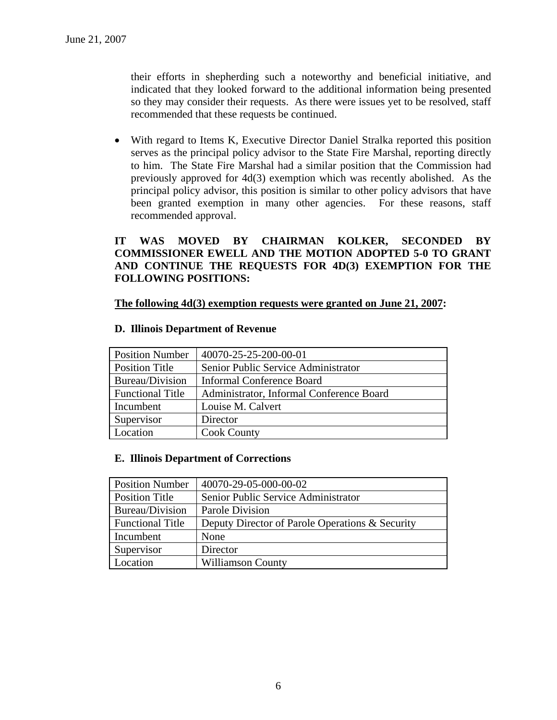their efforts in shepherding such a noteworthy and beneficial initiative, and indicated that they looked forward to the additional information being presented so they may consider their requests. As there were issues yet to be resolved, staff recommended that these requests be continued.

• With regard to Items K, Executive Director Daniel Stralka reported this position serves as the principal policy advisor to the State Fire Marshal, reporting directly to him. The State Fire Marshal had a similar position that the Commission had previously approved for 4d(3) exemption which was recently abolished. As the principal policy advisor, this position is similar to other policy advisors that have been granted exemption in many other agencies. For these reasons, staff recommended approval.

### **IT WAS MOVED BY CHAIRMAN KOLKER, SECONDED BY COMMISSIONER EWELL AND THE MOTION ADOPTED 5-0 TO GRANT AND CONTINUE THE REQUESTS FOR 4D(3) EXEMPTION FOR THE FOLLOWING POSITIONS:**

**The following 4d(3) exemption requests were granted on June 21, 2007:** 

| <b>Position Number</b>  | 40070-25-25-200-00-01                    |
|-------------------------|------------------------------------------|
| <b>Position Title</b>   | Senior Public Service Administrator      |
| Bureau/Division         | <b>Informal Conference Board</b>         |
| <b>Functional Title</b> | Administrator, Informal Conference Board |
| Incumbent               | Louise M. Calvert                        |
| Supervisor              | Director                                 |
| Location                | <b>Cook County</b>                       |

#### **D. Illinois Department of Revenue**

#### **E. Illinois Department of Corrections**

| <b>Position Number</b>  | 40070-29-05-000-00-02                           |
|-------------------------|-------------------------------------------------|
| <b>Position Title</b>   | Senior Public Service Administrator             |
| Bureau/Division         | Parole Division                                 |
| <b>Functional Title</b> | Deputy Director of Parole Operations & Security |
| Incumbent               | None                                            |
| Supervisor              | Director                                        |
| Location                | Williamson County                               |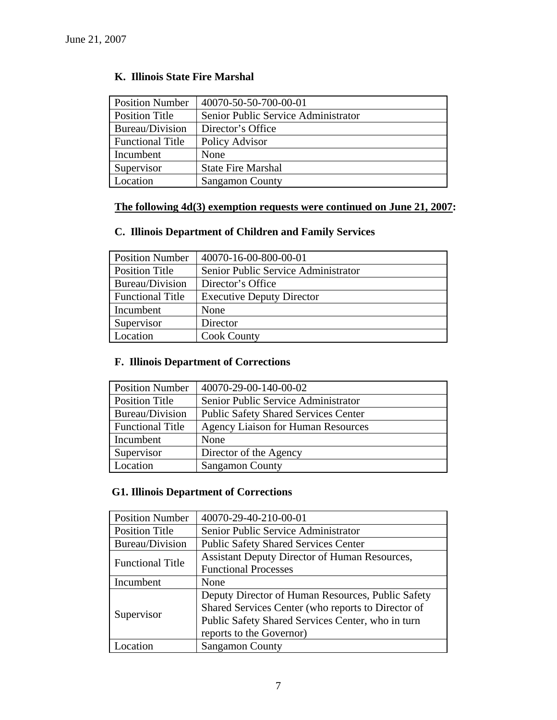# **K. Illinois State Fire Marshal**

| <b>Position Number</b>  | 40070-50-50-700-00-01               |
|-------------------------|-------------------------------------|
| <b>Position Title</b>   | Senior Public Service Administrator |
| Bureau/Division         | Director's Office                   |
| <b>Functional Title</b> | Policy Advisor                      |
| Incumbent               | None                                |
| Supervisor              | <b>State Fire Marshal</b>           |
| Location                | <b>Sangamon County</b>              |

# **The following 4d(3) exemption requests were continued on June 21, 2007:**

# **C. Illinois Department of Children and Family Services**

| <b>Position Number</b>  | 40070-16-00-800-00-01               |
|-------------------------|-------------------------------------|
| <b>Position Title</b>   | Senior Public Service Administrator |
| Bureau/Division         | Director's Office                   |
| <b>Functional Title</b> | <b>Executive Deputy Director</b>    |
| Incumbent               | None                                |
| Supervisor              | Director                            |
| Location                | <b>Cook County</b>                  |

# **F. Illinois Department of Corrections**

| <b>Position Number</b>  | 40070-29-00-140-00-02                       |
|-------------------------|---------------------------------------------|
| <b>Position Title</b>   | Senior Public Service Administrator         |
| Bureau/Division         | <b>Public Safety Shared Services Center</b> |
| <b>Functional Title</b> | <b>Agency Liaison for Human Resources</b>   |
| Incumbent               | None                                        |
| Supervisor              | Director of the Agency                      |
| Location                | <b>Sangamon County</b>                      |

# **G1. Illinois Department of Corrections**

| <b>Position Number</b>  | 40070-29-40-210-00-01                                |
|-------------------------|------------------------------------------------------|
| <b>Position Title</b>   | Senior Public Service Administrator                  |
| Bureau/Division         | <b>Public Safety Shared Services Center</b>          |
| <b>Functional Title</b> | <b>Assistant Deputy Director of Human Resources,</b> |
|                         | <b>Functional Processes</b>                          |
| Incumbent               | None                                                 |
| Supervisor              | Deputy Director of Human Resources, Public Safety    |
|                         | Shared Services Center (who reports to Director of   |
|                         | Public Safety Shared Services Center, who in turn    |
|                         | reports to the Governor)                             |
| ocation                 | <b>Sangamon County</b>                               |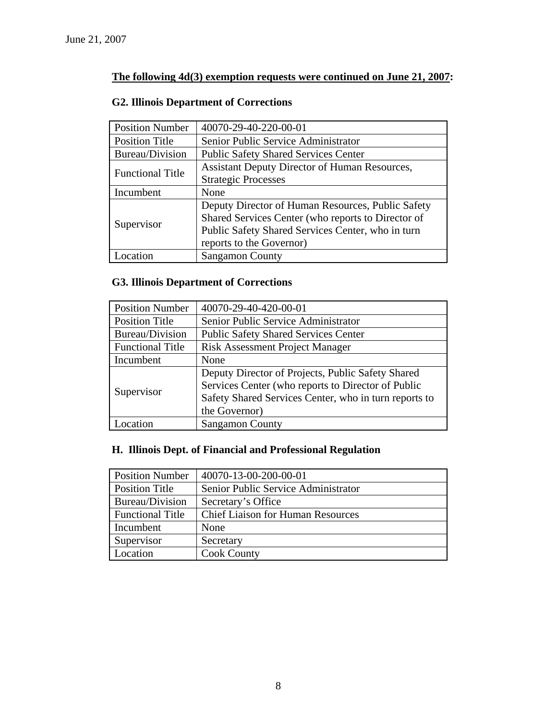# **The following 4d(3) exemption requests were continued on June 21, 2007:**

# **G2. Illinois Department of Corrections**

| <b>Position Number</b>  | 40070-29-40-220-00-01                                |
|-------------------------|------------------------------------------------------|
| <b>Position Title</b>   | Senior Public Service Administrator                  |
| Bureau/Division         | <b>Public Safety Shared Services Center</b>          |
| <b>Functional Title</b> | <b>Assistant Deputy Director of Human Resources,</b> |
|                         | <b>Strategic Processes</b>                           |
| Incumbent               | None                                                 |
| Supervisor              | Deputy Director of Human Resources, Public Safety    |
|                         | Shared Services Center (who reports to Director of   |
|                         | Public Safety Shared Services Center, who in turn    |
|                         | reports to the Governor)                             |
| ocation                 | <b>Sangamon County</b>                               |

# **G3. Illinois Department of Corrections**

| <b>Position Number</b>  | 40070-29-40-420-00-01                                 |
|-------------------------|-------------------------------------------------------|
| <b>Position Title</b>   | Senior Public Service Administrator                   |
| Bureau/Division         | <b>Public Safety Shared Services Center</b>           |
| <b>Functional Title</b> | <b>Risk Assessment Project Manager</b>                |
| Incumbent               | None                                                  |
| Supervisor              | Deputy Director of Projects, Public Safety Shared     |
|                         | Services Center (who reports to Director of Public    |
|                         | Safety Shared Services Center, who in turn reports to |
|                         | the Governor)                                         |
| ocation                 | <b>Sangamon County</b>                                |

# **H. Illinois Dept. of Financial and Professional Regulation**

| <b>Position Number</b>  | 40070-13-00-200-00-01                    |
|-------------------------|------------------------------------------|
| <b>Position Title</b>   | Senior Public Service Administrator      |
| Bureau/Division         | Secretary's Office                       |
| <b>Functional Title</b> | <b>Chief Liaison for Human Resources</b> |
| Incumbent               | None                                     |
| Supervisor              | Secretary                                |
| Location                | <b>Cook County</b>                       |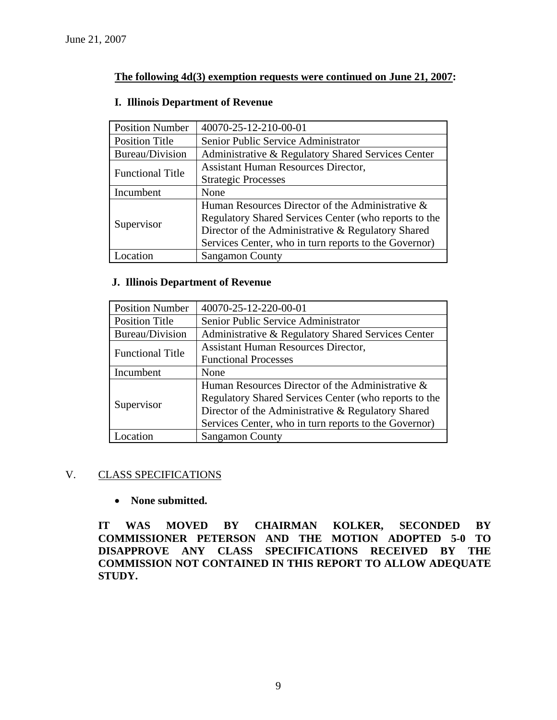### **The following 4d(3) exemption requests were continued on June 21, 2007:**

| <b>Position Number</b>  | 40070-25-12-210-00-01                                 |
|-------------------------|-------------------------------------------------------|
| <b>Position Title</b>   | Senior Public Service Administrator                   |
| Bureau/Division         | Administrative & Regulatory Shared Services Center    |
| <b>Functional Title</b> | <b>Assistant Human Resources Director,</b>            |
|                         | <b>Strategic Processes</b>                            |
| Incumbent               | None                                                  |
| Supervisor              | Human Resources Director of the Administrative &      |
|                         | Regulatory Shared Services Center (who reports to the |
|                         | Director of the Administrative & Regulatory Shared    |
|                         | Services Center, who in turn reports to the Governor) |
| ocation                 | <b>Sangamon County</b>                                |

#### **I. Illinois Department of Revenue**

#### **J. Illinois Department of Revenue**

| <b>Position Number</b>  | 40070-25-12-220-00-01                                 |
|-------------------------|-------------------------------------------------------|
| <b>Position Title</b>   | Senior Public Service Administrator                   |
| Bureau/Division         | Administrative & Regulatory Shared Services Center    |
| <b>Functional Title</b> | <b>Assistant Human Resources Director,</b>            |
|                         | <b>Functional Processes</b>                           |
| Incumbent               | None                                                  |
| Supervisor              | Human Resources Director of the Administrative &      |
|                         | Regulatory Shared Services Center (who reports to the |
|                         | Director of the Administrative & Regulatory Shared    |
|                         | Services Center, who in turn reports to the Governor) |
| Location                | <b>Sangamon County</b>                                |

#### V. CLASS SPECIFICATIONS

### • **None submitted.**

**IT WAS MOVED BY CHAIRMAN KOLKER, SECONDED BY COMMISSIONER PETERSON AND THE MOTION ADOPTED 5-0 TO DISAPPROVE ANY CLASS SPECIFICATIONS RECEIVED BY THE COMMISSION NOT CONTAINED IN THIS REPORT TO ALLOW ADEQUATE STUDY.**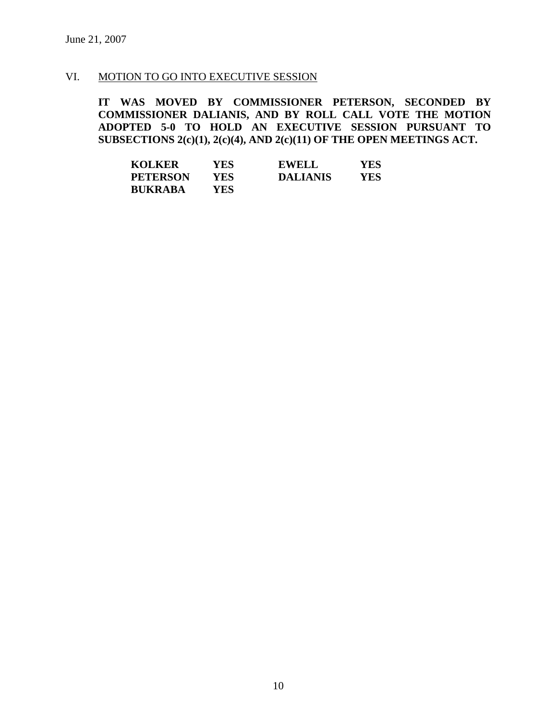### VI. MOTION TO GO INTO EXECUTIVE SESSION

**IT WAS MOVED BY COMMISSIONER PETERSON, SECONDED BY COMMISSIONER DALIANIS, AND BY ROLL CALL VOTE THE MOTION ADOPTED 5-0 TO HOLD AN EXECUTIVE SESSION PURSUANT TO SUBSECTIONS 2(c)(1), 2(c)(4), AND 2(c)(11) OF THE OPEN MEETINGS ACT.** 

| <b>KOLKER</b>   | YES | <b>EWELL</b>    | YES |
|-----------------|-----|-----------------|-----|
| <b>PETERSON</b> | YES | <b>DALIANIS</b> | YES |
| <b>BUKRABA</b>  | YES |                 |     |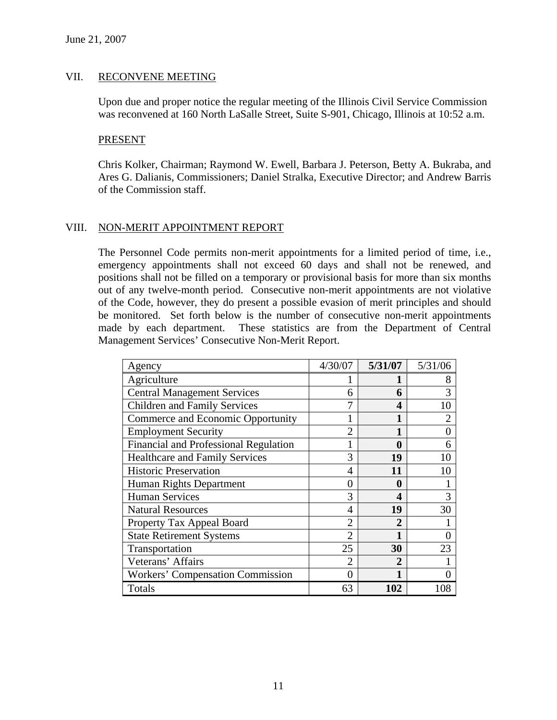#### VII. RECONVENE MEETING

Upon due and proper notice the regular meeting of the Illinois Civil Service Commission was reconvened at 160 North LaSalle Street, Suite S-901, Chicago, Illinois at 10:52 a.m.

#### PRESENT

Chris Kolker, Chairman; Raymond W. Ewell, Barbara J. Peterson, Betty A. Bukraba, and Ares G. Dalianis, Commissioners; Daniel Stralka, Executive Director; and Andrew Barris of the Commission staff.

### VIII. NON-MERIT APPOINTMENT REPORT

The Personnel Code permits non-merit appointments for a limited period of time, i.e., emergency appointments shall not exceed 60 days and shall not be renewed, and positions shall not be filled on a temporary or provisional basis for more than six months out of any twelve-month period. Consecutive non-merit appointments are not violative of the Code, however, they do present a possible evasion of merit principles and should be monitored. Set forth below is the number of consecutive non-merit appointments made by each department. These statistics are from the Department of Central Management Services' Consecutive Non-Merit Report.

| Agency                                | 4/30/07        | 5/31/07 | 5/31/06        |
|---------------------------------------|----------------|---------|----------------|
| Agriculture                           |                |         | 8              |
| <b>Central Management Services</b>    | 6              | 6       | 3              |
| <b>Children and Family Services</b>   | 7              | 4       | 10             |
| Commerce and Economic Opportunity     |                |         | $\overline{2}$ |
| <b>Employment Security</b>            | $\overline{2}$ | 1       | $\theta$       |
| Financial and Professional Regulation |                | 0       | 6              |
| <b>Healthcare and Family Services</b> | 3              | 19      | 10             |
| <b>Historic Preservation</b>          | 4              | 11      | 10             |
| Human Rights Department               | 0              | 0       |                |
| <b>Human Services</b>                 | 3              | 4       | 3              |
| <b>Natural Resources</b>              | 4              | 19      | 30             |
| Property Tax Appeal Board             | $\overline{2}$ | 2       |                |
| <b>State Retirement Systems</b>       | $\overline{2}$ | 1       | $\overline{0}$ |
| Transportation                        | 25             | 30      | 23             |
| Veterans' Affairs                     | $\mathfrak{D}$ | 2       |                |
| Workers' Compensation Commission      | 0              |         |                |
| Totals                                | 63             | 102     | 108            |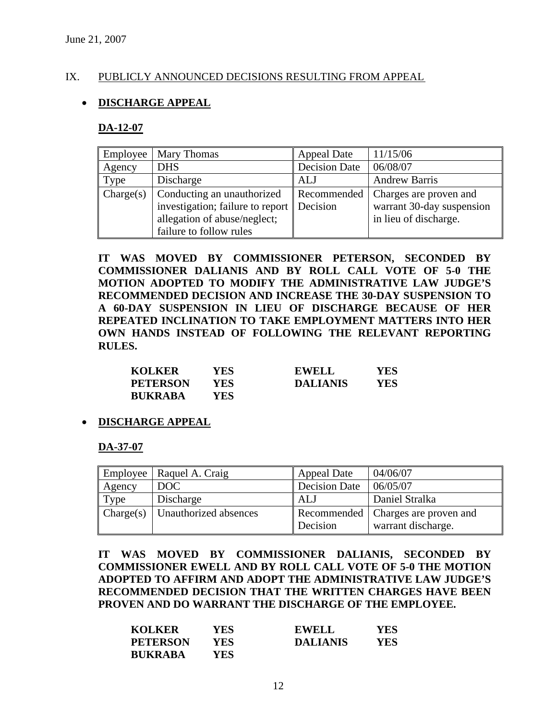### IX. PUBLICLY ANNOUNCED DECISIONS RESULTING FROM APPEAL

### • **DISCHARGE APPEAL**

#### **DA-12-07**

| Employee  | Mary Thomas                                                                                                               | <b>Appeal Date</b>      | 11/15/06                                                                     |
|-----------|---------------------------------------------------------------------------------------------------------------------------|-------------------------|------------------------------------------------------------------------------|
| Agency    | <b>DHS</b>                                                                                                                | Decision Date           | 06/08/07                                                                     |
| Type      | Discharge                                                                                                                 | <b>ALJ</b>              | <b>Andrew Barris</b>                                                         |
| Change(s) | Conducting an unauthorized<br>investigation; failure to report<br>allegation of abuse/neglect;<br>failure to follow rules | Recommended<br>Decision | Charges are proven and<br>warrant 30-day suspension<br>in lieu of discharge. |

**IT WAS MOVED BY COMMISSIONER PETERSON, SECONDED BY COMMISSIONER DALIANIS AND BY ROLL CALL VOTE OF 5-0 THE MOTION ADOPTED TO MODIFY THE ADMINISTRATIVE LAW JUDGE'S RECOMMENDED DECISION AND INCREASE THE 30-DAY SUSPENSION TO A 60-DAY SUSPENSION IN LIEU OF DISCHARGE BECAUSE OF HER REPEATED INCLINATION TO TAKE EMPLOYMENT MATTERS INTO HER OWN HANDS INSTEAD OF FOLLOWING THE RELEVANT REPORTING RULES.** 

| <b>KOLKER</b>   | YES | <b>EWELL</b>    | YES |
|-----------------|-----|-----------------|-----|
| <b>PETERSON</b> | YES | <b>DALIANIS</b> | YES |
| <b>BUKRABA</b>  | YES |                 |     |

#### • **DISCHARGE APPEAL**

**DA-37-07**

|           | Employee   Raquel A. Craig | <b>Appeal Date</b>   | 04/06/07                                                   |
|-----------|----------------------------|----------------------|------------------------------------------------------------|
| Agency    | DOC                        | <b>Decision Date</b> | 06/05/07                                                   |
| Type      | Discharge                  | ALJ                  | Daniel Stralka                                             |
| Change(s) | Unauthorized absences      | Decision             | Recommended   Charges are proven and<br>warrant discharge. |

**IT WAS MOVED BY COMMISSIONER DALIANIS, SECONDED BY COMMISSIONER EWELL AND BY ROLL CALL VOTE OF 5-0 THE MOTION ADOPTED TO AFFIRM AND ADOPT THE ADMINISTRATIVE LAW JUDGE'S RECOMMENDED DECISION THAT THE WRITTEN CHARGES HAVE BEEN PROVEN AND DO WARRANT THE DISCHARGE OF THE EMPLOYEE.** 

| <b>KOLKER</b>   | YES | <b>EWELL</b>    | YES |
|-----------------|-----|-----------------|-----|
| <b>PETERSON</b> | YES | <b>DALIANIS</b> | YES |
| <b>BUKRABA</b>  | YES |                 |     |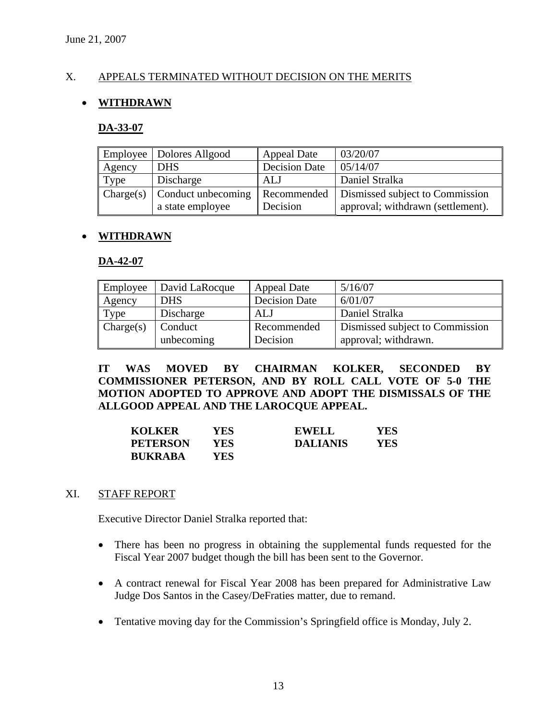### X. APPEALS TERMINATED WITHOUT DECISION ON THE MERITS

### • **WITHDRAWN**

#### **DA-33-07**

|           | Employee   Dolores Allgood | <b>Appeal Date</b>   | 03/20/07                          |
|-----------|----------------------------|----------------------|-----------------------------------|
| Agency    | <b>DHS</b>                 | <b>Decision Date</b> | 05/14/07                          |
| Type      | Discharge                  | ALJ                  | Daniel Stralka                    |
| Change(s) | Conduct unbecoming         | Recommended          | Dismissed subject to Commission   |
|           | a state employee           | Decision             | approval; withdrawn (settlement). |

#### • **WITHDRAWN**

#### **DA-42-07**

| Employee  | David LaRocque | <b>Appeal Date</b>   | 5/16/07                         |
|-----------|----------------|----------------------|---------------------------------|
| Agency    | <b>DHS</b>     | <b>Decision Date</b> | 6/01/07                         |
| Type      | Discharge      | ALJ                  | Daniel Stralka                  |
| Change(s) | Conduct        | Recommended          | Dismissed subject to Commission |
|           | unbecoming     | Decision             | approval; withdrawn.            |

**IT WAS MOVED BY CHAIRMAN KOLKER, SECONDED BY COMMISSIONER PETERSON, AND BY ROLL CALL VOTE OF 5-0 THE MOTION ADOPTED TO APPROVE AND ADOPT THE DISMISSALS OF THE ALLGOOD APPEAL AND THE LAROCQUE APPEAL.** 

| <b>KOLKER</b>   | YES . | <b>EWELL</b>    | YES |
|-----------------|-------|-----------------|-----|
| <b>PETERSON</b> | YES   | <b>DALIANIS</b> | YES |
| <b>BUKRABA</b>  | YES.  |                 |     |

#### XI. STAFF REPORT

Executive Director Daniel Stralka reported that:

- There has been no progress in obtaining the supplemental funds requested for the Fiscal Year 2007 budget though the bill has been sent to the Governor.
- A contract renewal for Fiscal Year 2008 has been prepared for Administrative Law Judge Dos Santos in the Casey/DeFraties matter, due to remand.
- Tentative moving day for the Commission's Springfield office is Monday, July 2.